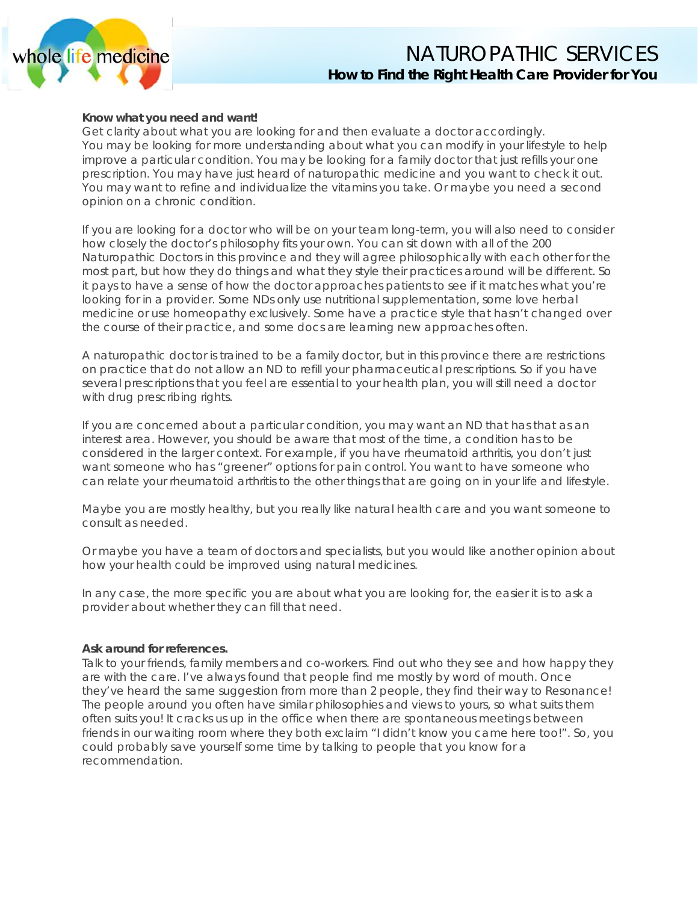

# NATUROPATHIC SERVICES **How to Find the Right Health Care Provider for You**

#### **Know what you need and want!**

Get clarity about what you are looking for and then evaluate a doctor accordingly. You may be looking for more understanding about what you can modify in your lifestyle to help improve a particular condition. You may be looking for a family doctor that just refills your one prescription. You may have just heard of naturopathic medicine and you want to check it out. You may want to refine and individualize the vitamins you take. Or maybe you need a second opinion on a chronic condition.

If you are looking for a doctor who will be on your team long-term, you will also need to consider how closely the doctor's philosophy fits your own. You can sit down with all of the 200 Naturopathic Doctors in this province and they will agree philosophically with each other for the most part, but how they do things and what they style their practices around will be different. So it pays to have a sense of how the doctor approaches patients to see if it matches what you're looking for in a provider. Some NDs only use nutritional supplementation, some love herbal medicine or use homeopathy exclusively. Some have a practice style that hasn't changed over the course of their practice, and some docs are learning new approaches often.

A naturopathic doctor is trained to be a family doctor, but in this province there are restrictions on practice that do not allow an ND to refill your pharmaceutical prescriptions. So if you have several prescriptions that you feel are essential to your health plan, you will still need a doctor with drug prescribing rights.

If you are concerned about a particular condition, you may want an ND that has that as an interest area. However, you should be aware that most of the time, a condition has to be considered in the larger context. For example, if you have rheumatoid arthritis, you don't just want someone who has "greener" options for pain control. You want to have someone who can relate your rheumatoid arthritis to the other things that are going on in your life and lifestyle.

Maybe you are mostly healthy, but you really like natural health care and you want someone to consult as needed.

Or maybe you have a team of doctors and specialists, but you would like another opinion about how your health could be improved using natural medicines.

In any case, the more specific you are about what you are looking for, the easier it is to ask a provider about whether they can fill that need.

#### **Ask around for references.**

Talk to your friends, family members and co-workers. Find out who they see and how happy they are with the care. I've always found that people find me mostly by word of mouth. Once they've heard the same suggestion from more than 2 people, they find their way to Resonance! The people around you often have similar philosophies and views to yours, so what suits them often suits you! It cracks us up in the office when there are spontaneous meetings between friends in our waiting room where they both exclaim "I didn't know you came here too!". So, you could probably save yourself some time by talking to people that you know for a recommendation.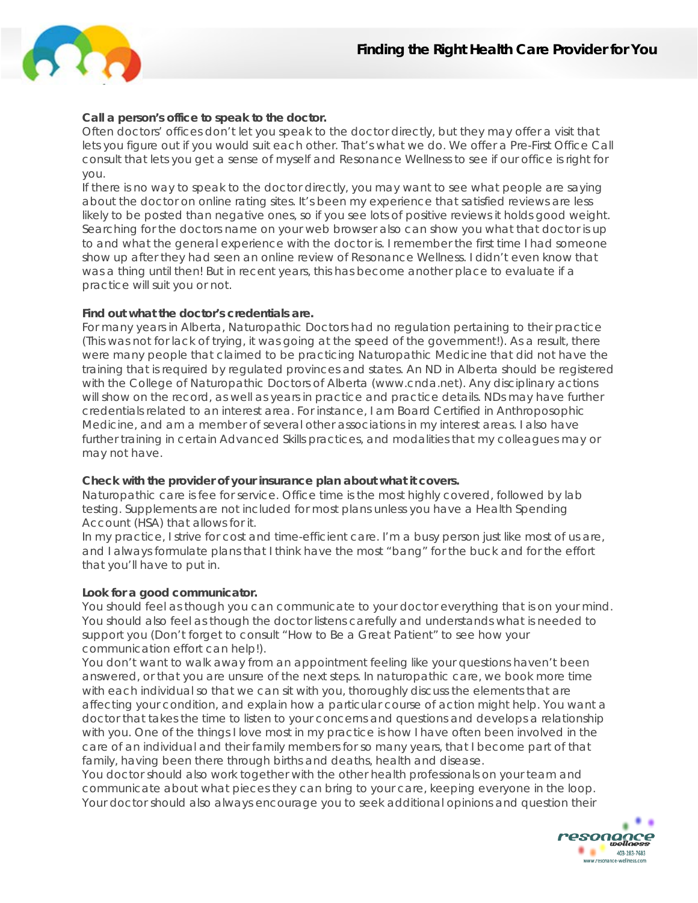

## **Call a person's office to speak to the doctor.**

Often doctors' offices don't let you speak to the doctor directly, but they may offer a visit that lets you figure out if you would suit each other. That's what we do. We offer a Pre-First Office Call consult that lets you get a sense of myself and Resonance Wellness to see if our office is right for you.

If there is no way to speak to the doctor directly, you may want to see what people are saying about the doctor on online rating sites. It's been my experience that satisfied reviews are less likely to be posted than negative ones, so if you see lots of positive reviews it holds good weight. Searching for the doctors name on your web browser also can show you what that doctor is up to and what the general experience with the doctor is. I remember the first time I had someone show up after they had seen an online review of Resonance Wellness. I didn't even know that was a thing until then! But in recent years, this has become another place to evaluate if a practice will suit you or not.

## **Find out what the doctor's credentials are.**

For many years in Alberta, Naturopathic Doctors had no regulation pertaining to their practice (This was not for lack of trying, it was going at the speed of the government!). As a result, there were many people that claimed to be practicing Naturopathic Medicine that did not have the training that is required by regulated provinces and states. An ND in Alberta should be registered with the College of Naturopathic Doctors of Alberta (www.cnda.net). Any disciplinary actions will show on the record, as well as years in practice and practice details. NDs may have further credentials related to an interest area. For instance, I am Board Certified in Anthroposophic Medicine, and am a member of several other associations in my interest areas. I also have further training in certain Advanced Skills practices, and modalities that my colleagues may or may not have.

#### **Check with the provider of your insurance plan about what it covers.**

Naturopathic care is fee for service. Office time is the most highly covered, followed by lab testing. Supplements are not included for most plans unless you have a Health Spending Account (HSA) that allows for it.

In my practice, I strive for cost and time-efficient care. I'm a busy person just like most of us are, and I always formulate plans that I think have the most "bang" for the buck and for the effort that you'll have to put in.

## **Look for a good communicator.**

You should feel as though you can communicate to your doctor everything that is on your mind. You should also feel as though the doctor listens carefully and understands what is needed to support you (Don't forget to consult "How to Be a Great Patient" to see how your communication effort can help!).

You don't want to walk away from an appointment feeling like your questions haven't been answered, or that you are unsure of the next steps. In naturopathic care, we book more time with each individual so that we can sit with you, thoroughly discuss the elements that are affecting your condition, and explain how a particular course of action might help. You want a doctor that takes the time to listen to your concerns and questions and develops a relationship with you. One of the things I love most in my practice is how I have often been involved in the care of an individual and their family members for so many years, that I become part of that family, having been there through births and deaths, health and disease.

You doctor should also work together with the other health professionals on your team and communicate about what pieces they can bring to your care, keeping everyone in the loop. Your doctor should also always encourage you to seek additional opinions and question their